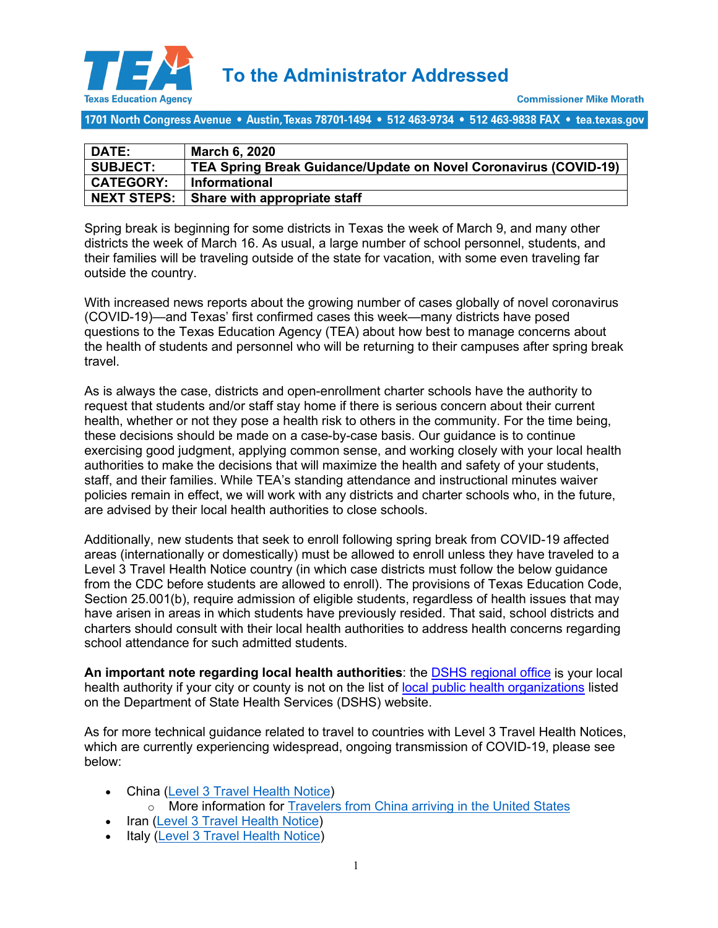

1701 North Congress Avenue • Austin, Texas 78701-1494 • 512 463-9734 • 512 463-9838 FAX • tea.texas.gov

| <b>DATE:</b>       | March 6, 2020                                                    |
|--------------------|------------------------------------------------------------------|
| <b>SUBJECT:</b>    | TEA Spring Break Guidance/Update on Novel Coronavirus (COVID-19) |
| <b>CATEGORY:</b>   | <b>Informational</b>                                             |
| <b>NEXT STEPS:</b> | Share with appropriate staff                                     |

Spring break is beginning for some districts in Texas the week of March 9, and many other districts the week of March 16. As usual, a large number of school personnel, students, and their families will be traveling outside of the state for vacation, with some even traveling far outside the country.

With increased news reports about the growing number of cases globally of novel coronavirus (COVID-19)—and Texas' first confirmed cases this week—many districts have posed questions to the Texas Education Agency (TEA) about how best to manage concerns about the health of students and personnel who will be returning to their campuses after spring break travel.

As is always the case, districts and open-enrollment charter schools have the authority to request that students and/or staff stay home if there is serious concern about their current health, whether or not they pose a health risk to others in the community. For the time being, these decisions should be made on a case-by-case basis. Our guidance is to continue exercising good judgment, applying common sense, and working closely with your local health authorities to make the decisions that will maximize the health and safety of your students, staff, and their families. While TEA's standing attendance and instructional minutes waiver policies remain in effect, we will work with any districts and charter schools who, in the future, are advised by their local health authorities to close schools.

Additionally, new students that seek to enroll following spring break from COVID-19 affected areas (internationally or domestically) must be allowed to enroll unless they have traveled to a Level 3 Travel Health Notice country (in which case districts must follow the below guidance from the CDC before students are allowed to enroll). The provisions of Texas Education Code, Section 25.001(b), require admission of eligible students, regardless of health issues that may have arisen in areas in which students have previously resided. That said, school districts and charters should consult with their local health authorities to address health concerns regarding school attendance for such admitted students.

**An important note regarding local health authorities**: the [DSHS regional office](https://www.dshs.texas.gov/regions/default.shtm) is your local health authority if your city or county is not on the list of [local public health organizations](https://www.dshs.state.tx.us/regions/lhds.shtm) listed on the Department of State Health Services (DSHS) website.

As for more technical guidance related to travel to countries with Level 3 Travel Health Notices, which are currently experiencing widespread, ongoing transmission of COVID-19, please see below:

- China [\(Level 3 Travel Health Notice\)](https://wwwnc.cdc.gov/travel/notices/warning/novel-coronavirus-china)
	- o More information for [Travelers from China arriving in the United States](https://www.cdc.gov/coronavirus/2019-ncov/travelers/from-other-countries.html?CDC_AA_refVal=https%3A%2F%2Fwww.cdc.gov%2Fcoronavirus%2F2019-ncov%2Ftravelers%2Ffrom-china.html)
- Iran [\(Level 3 Travel Health Notice\)](https://wwwnc.cdc.gov/travel/notices/warning/coronavirus-iran)
- Italy [\(Level 3 Travel Health Notice\)](https://wwwnc.cdc.gov/travel/notices/warning/coronavirus-italy)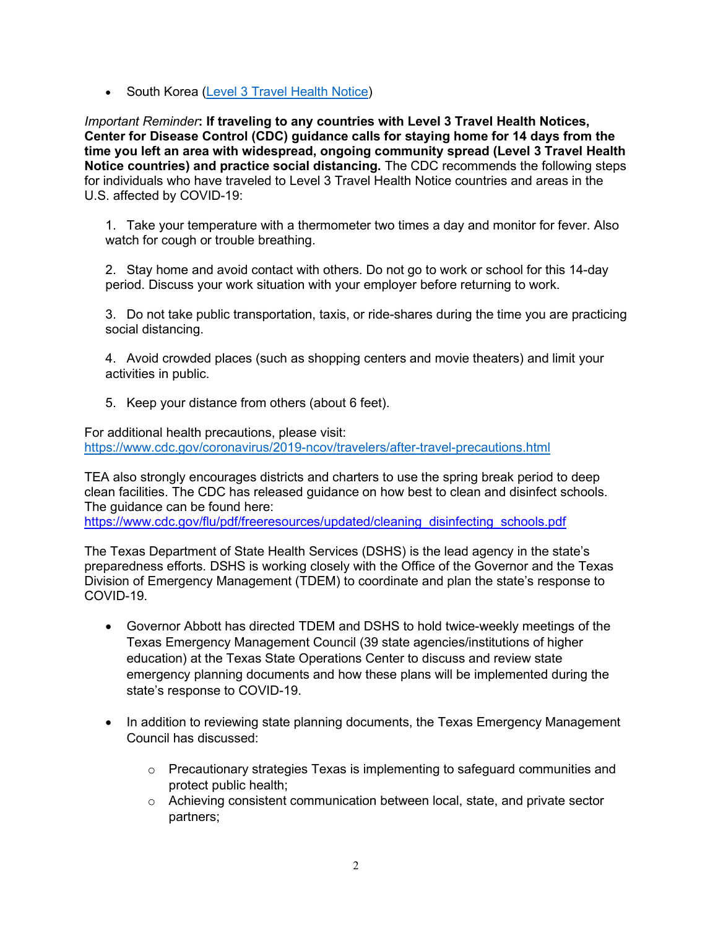• South Korea [\(Level 3 Travel Health Notice\)](https://wwwnc.cdc.gov/travel/notices/warning/coronavirus-south-korea)

*Important Reminder***: If traveling to any countries with Level 3 Travel Health Notices, Center for Disease Control (CDC) guidance calls for staying home for 14 days from the time you left an area with widespread, ongoing community spread (Level 3 Travel Health Notice countries) and practice social distancing.** The CDC recommends the following steps for individuals who have traveled to Level 3 Travel Health Notice countries and areas in the U.S. affected by COVID-19:

1. Take your temperature with a thermometer two times a day and monitor for fever. Also watch for cough or trouble breathing.

2. Stay home and avoid contact with others. Do not go to work or school for this 14-day period. Discuss your work situation with your employer before returning to work.

3. Do not take public transportation, taxis, or ride-shares during the time you are practicing social distancing.

4. Avoid crowded places (such as shopping centers and movie theaters) and limit your activities in public.

5. Keep your distance from others (about 6 feet).

For additional health precautions, please visit: <https://www.cdc.gov/coronavirus/2019-ncov/travelers/after-travel-precautions.html>

TEA also strongly encourages districts and charters to use the spring break period to deep clean facilities. The CDC has released guidance on how best to clean and disinfect schools. The guidance can be found here: [https://www.cdc.gov/flu/pdf/freeresources/updated/cleaning\\_disinfecting\\_schools.pdf](https://www.cdc.gov/flu/pdf/freeresources/updated/cleaning_disinfecting_schools.pdf)

The Texas Department of State Health Services (DSHS) is the lead agency in the state's preparedness efforts. DSHS is working closely with the Office of the Governor and the Texas Division of Emergency Management (TDEM) to coordinate and plan the state's response to COVID-19.

- Governor Abbott has directed TDEM and DSHS to hold twice-weekly meetings of the Texas Emergency Management Council (39 state agencies/institutions of higher education) at the Texas State Operations Center to discuss and review state emergency planning documents and how these plans will be implemented during the state's response to COVID-19.
- In addition to reviewing state planning documents, the Texas Emergency Management Council has discussed:
	- $\circ$  Precautionary strategies Texas is implementing to safeguard communities and protect public health;
	- $\circ$  Achieving consistent communication between local, state, and private sector partners;